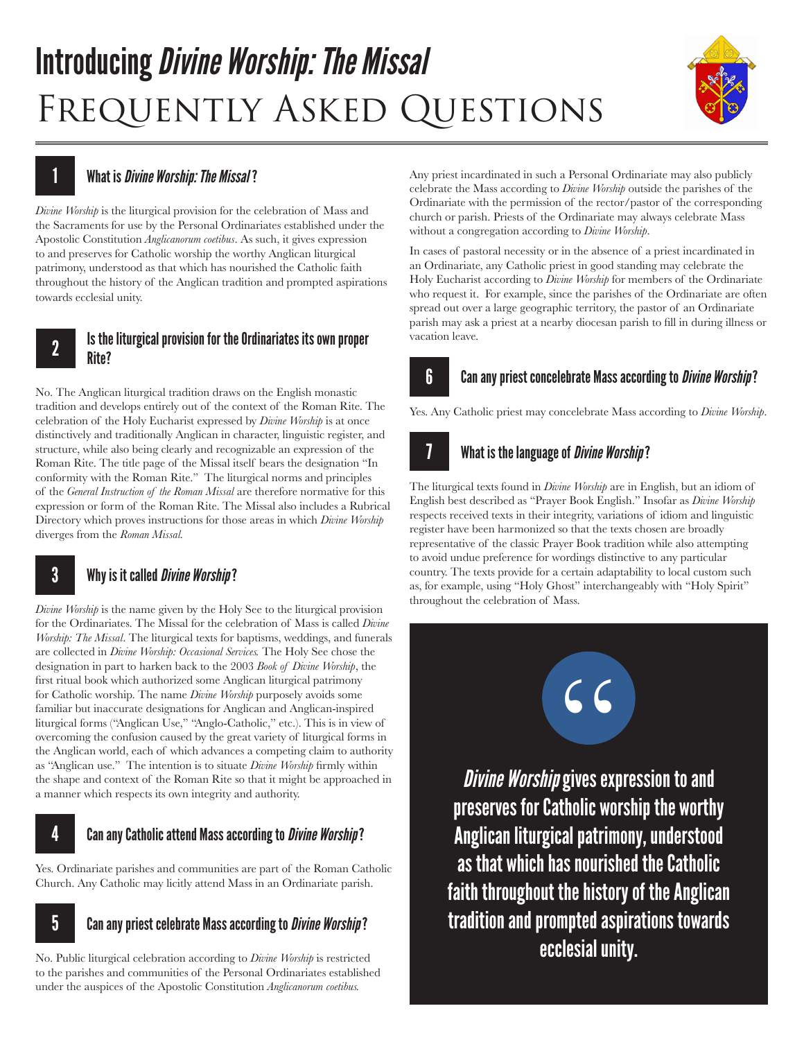# Introducing *Divine Worship: The Missal* FREQUENTLY ASKED QUESTIONS



## What is *Divine Worship: The Missal* ?

1

*Divine Worship* is the liturgical provision for the celebration of Mass and the Sacraments for use by the Personal Ordinariates established under the Apostolic Constitution *Anglicanorum coetibus*. As such, it gives expression to and preserves for Catholic worship the worthy Anglican liturgical patrimony, understood as that which has nourished the Catholic faith throughout the history of the Anglican tradition and prompted aspirations towards ecclesial unity.

#### Is the liturgical provision for the Ordinariates its own proper Rite? 2

No. The Anglican liturgical tradition draws on the English monastic tradition and develops entirely out of the context of the Roman Rite. The celebration of the Holy Eucharist expressed by *Divine Worship* is at once distinctively and traditionally Anglican in character, linguistic register, and structure, while also being clearly and recognizable an expression of the Roman Rite. The title page of the Missal itself bears the designation "In conformity with the Roman Rite." The liturgical norms and principles of the *General Instruction of the Roman Missal* are therefore normative for this expression or form of the Roman Rite. The Missal also includes a Rubrical Directory which proves instructions for those areas in which *Divine Worship*  diverges from the *Roman Missal.* 

#### Why is it called *Divine Worship*? 3

*Divine Worship* is the name given by the Holy See to the liturgical provision for the Ordinariates. The Missal for the celebration of Mass is called *Divine Worship: The Missal*. The liturgical texts for baptisms, weddings, and funerals are collected in *Divine Worship: Occasional Services.* The Holy See chose the designation in part to harken back to the 2003 *Book of Divine Worship*, the first ritual book which authorized some Anglican liturgical patrimony for Catholic worship. The name *Divine Worship* purposely avoids some familiar but inaccurate designations for Anglican and Anglican-inspired liturgical forms ("Anglican Use," "Anglo-Catholic," etc.). This is in view of overcoming the confusion caused by the great variety of liturgical forms in the Anglican world, each of which advances a competing claim to authority as "Anglican use." The intention is to situate *Divine Worship* firmly within the shape and context of the Roman Rite so that it might be approached in a manner which respects its own integrity and authority.

#### Can any Catholic attend Mass according to *Divine Worship*? 4

Yes. Ordinariate parishes and communities are part of the Roman Catholic Church. Any Catholic may licitly attend Mass in an Ordinariate parish.

#### Can any priest celebrate Mass according to *Divine Worship*? 5

No. Public liturgical celebration according to *Divine Worship* is restricted to the parishes and communities of the Personal Ordinariates established under the auspices of the Apostolic Constitution *Anglicanorum coetibus.* 

Any priest incardinated in such a Personal Ordinariate may also publicly celebrate the Mass according to *Divine Worship* outside the parishes of the Ordinariate with the permission of the rector/pastor of the corresponding church or parish. Priests of the Ordinariate may always celebrate Mass without a congregation according to *Divine Worship*.

In cases of pastoral necessity or in the absence of a priest incardinated in an Ordinariate, any Catholic priest in good standing may celebrate the Holy Eucharist according to *Divine Worship* for members of the Ordinariate who request it. For example, since the parishes of the Ordinariate are often spread out over a large geographic territory, the pastor of an Ordinariate parish may ask a priest at a nearby diocesan parish to fill in during illness or vacation leave.

#### Can any priest concelebrate Mass according to *Divine Worship*? 6

Yes. Any Catholic priest may concelebrate Mass according to *Divine Worship*.



The liturgical texts found in *Divine Worship* are in English, but an idiom of English best described as "Prayer Book English." Insofar as *Divine Worship*  respects received texts in their integrity, variations of idiom and linguistic register have been harmonized so that the texts chosen are broadly representative of the classic Prayer Book tradition while also attempting to avoid undue preference for wordings distinctive to any particular country. The texts provide for a certain adaptability to local custom such as, for example, using "Holy Ghost" interchangeably with "Holy Spirit" throughout the celebration of Mass.



*Divine Worship* gives expression to and preserves for Catholic worship the worthy Anglican liturgical patrimony, understood as that which has nourished the Catholic faith throughout the history of the Anglican tradition and prompted aspirations towards ecclesial unity.